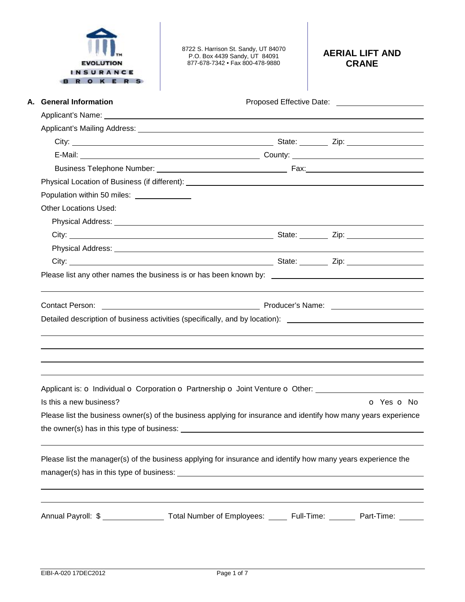| <b>INSURANCE</b><br><b>ROKER</b> | 8722 S. Harrison St. Sandy, UT 84070<br>P.O. Box 4439 Sandy, UT 84091<br>877-678-7342 • Fax 800-478-9880        | <b>AERIAL LIFT AND</b><br><b>CRANE</b> |
|----------------------------------|-----------------------------------------------------------------------------------------------------------------|----------------------------------------|
| A. General Information           |                                                                                                                 |                                        |
|                                  |                                                                                                                 |                                        |
|                                  |                                                                                                                 |                                        |
|                                  |                                                                                                                 |                                        |
|                                  |                                                                                                                 |                                        |
|                                  |                                                                                                                 |                                        |
|                                  |                                                                                                                 |                                        |
| Population within 50 miles:      |                                                                                                                 |                                        |
| Other Locations Used:            |                                                                                                                 |                                        |
|                                  |                                                                                                                 |                                        |
|                                  |                                                                                                                 |                                        |
|                                  |                                                                                                                 |                                        |
|                                  |                                                                                                                 |                                        |
| Contact Person:                  | Detailed description of business activities (specifically, and by location): ________________________________   |                                        |
| Is this a new business?          | Applicant is: o Individual o Corporation o Partnership o Joint Venture o Other: ____________________            | $O$ Yes $O$ No                         |
|                                  | Please list the business owner(s) of the business applying for insurance and identify how many years experience |                                        |
|                                  | Please list the manager(s) of the business applying for insurance and identify how many years experience the    |                                        |
|                                  | Annual Payroll: \$ _________________ Total Number of Employees: ______ Full-Time: _______ Part-Time: ______     |                                        |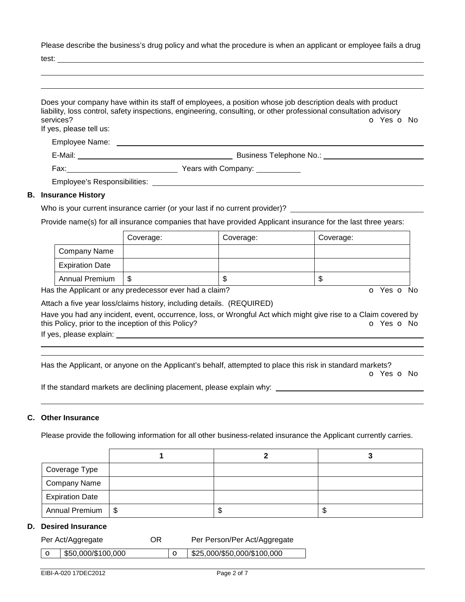Please describe the business's drug policy and what the procedure is when an applicant or employee fails a drug

test:

| services?<br>If yes, please tell us: | Does your company have within its staff of employees, a position whose job description deals with product<br>liability, loss control, safety inspections, engineering, consulting, or other professional consultation advisory<br>O Yes O No |
|--------------------------------------|----------------------------------------------------------------------------------------------------------------------------------------------------------------------------------------------------------------------------------------------|
|                                      |                                                                                                                                                                                                                                              |
| Employee Name:                       |                                                                                                                                                                                                                                              |
|                                      | Business Telephone No.: Note that the set of the set of the set of the set of the set of the set of the set of the set of the set of the set of the set of the set of the set of the set of the set of the set of the set of t               |
|                                      |                                                                                                                                                                                                                                              |
|                                      |                                                                                                                                                                                                                                              |
| <b>B.</b> Insurance History          |                                                                                                                                                                                                                                              |
|                                      | Who is your surrent insurance carrier (or your lost if no surrent provider)?                                                                                                                                                                 |

# Who is your current insurance carrier (or your last if no current provider)? \_\_\_\_\_

Provide name(s) for all insurance companies that have provided Applicant insurance for the last three years:

|                        | Coverage: | Coverage: | Coverage: |
|------------------------|-----------|-----------|-----------|
| Company Name           |           |           |           |
| <b>Expiration Date</b> |           |           |           |
| <b>Annual Premium</b>  | J         | ጥ<br>Œ    | D         |

Has the Applicant or any predecessor ever had a claim? The Contract of Monocomusic Contract of No. The Contract O

Attach a five year loss/claims history, including details. (REQUIRED)

Have you had any incident, event, occurrence, loss, or Wrongful Act which might give rise to a Claim covered by this Policy, prior to the inception of this Policy? **o Yes o No** Yes **o** No

If yes, please explain:

 

Has the Applicant, or anyone on the Applicant's behalf, attempted to place this risk in standard markets?

o Yes o No

If the standard markets are declining placement, please explain why:

### **C. Other Insurance**

Please provide the following information for all other business-related insurance the Applicant currently carries.

| Coverage Type          |    |    |
|------------------------|----|----|
| Company Name           |    |    |
| <b>Expiration Date</b> |    |    |
| Annual Premium   \$    | ъD | ъD |

#### **D. Desired Insurance**

| Per Act/Aggregate                | OR | Per Person/Per Act/Aggregate |
|----------------------------------|----|------------------------------|
| $\frac{1}{2}$ \$50,000/\$100,000 |    | \$25,000/\$50,000/\$100,000  |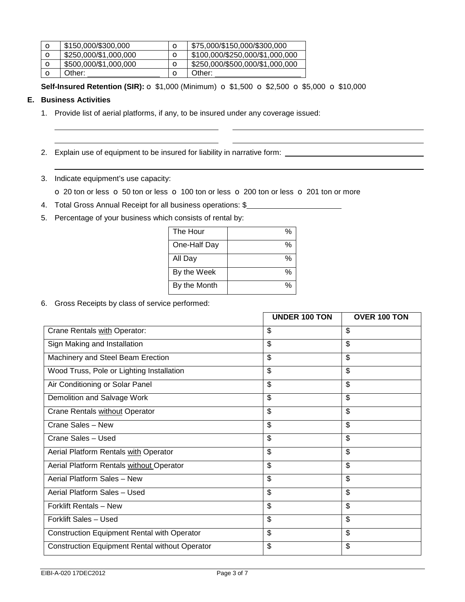| $\circ$     | \$150,000/\$300,000   | \$75,000/\$150,000/\$300,000    |
|-------------|-----------------------|---------------------------------|
| $\circ$     | \$250,000/\$1,000,000 | \$100,000/\$250,000/\$1,000,000 |
| $\mathbf o$ | \$500,000/\$1,000,000 | \$250,000/\$500,000/\$1,000,000 |
|             | Other:                | Other:                          |

**Self-Insured Retention (SIR):** o \$1,000 (Minimum) o \$1,500 o \$2,500 o \$5,000 o \$10,000

## **E. Business Activities**

 

- 1. Provide list of aerial platforms, if any, to be insured under any coverage issued:
- 2. Explain use of equipment to be insured for liability in narrative form: \_\_\_\_\_\_\_\_\_\_\_\_\_\_\_\_\_\_\_\_\_\_\_\_\_\_\_\_\_\_\_\_\_\_\_
- 3. Indicate equipment's use capacity:

o 20 ton or less o 50 ton or less o 100 ton or less o 200 ton or less o 201 ton or more

- 4. Total Gross Annual Receipt for all business operations: \$
- 5. Percentage of your business which consists of rental by:

| The Hour     | %    |
|--------------|------|
| One-Half Day | ℅    |
| All Day      | ℅    |
| By the Week  | ℅    |
| By the Month | $\%$ |

6. Gross Receipts by class of service performed:

|                                                       | <b>UNDER 100 TON</b>      | OVER 100 TON             |
|-------------------------------------------------------|---------------------------|--------------------------|
| Crane Rentals with Operator:                          | \$                        | \$                       |
| Sign Making and Installation                          | \$                        | \$                       |
| Machinery and Steel Beam Erection                     | \$                        | \$                       |
| Wood Truss, Pole or Lighting Installation             | \$                        | $\overline{\mathcal{S}}$ |
| Air Conditioning or Solar Panel                       | \$                        | \$                       |
| Demolition and Salvage Work                           | \$                        | \$                       |
| Crane Rentals without Operator                        | \$                        | \$                       |
| Crane Sales - New                                     | \$                        | \$                       |
| Crane Sales - Used                                    | \$                        | \$                       |
| Aerial Platform Rentals with Operator                 | \$                        | \$                       |
| Aerial Platform Rentals without Operator              | \$                        | \$                       |
| Aerial Platform Sales - New                           | \$                        | \$                       |
| Aerial Platform Sales - Used                          | \$                        | \$                       |
| Forklift Rentals - New                                | $\boldsymbol{\mathsf{S}}$ | \$                       |
| Forklift Sales - Used                                 | \$                        | \$                       |
| <b>Construction Equipment Rental with Operator</b>    | \$                        | \$                       |
| <b>Construction Equipment Rental without Operator</b> | \$                        | \$                       |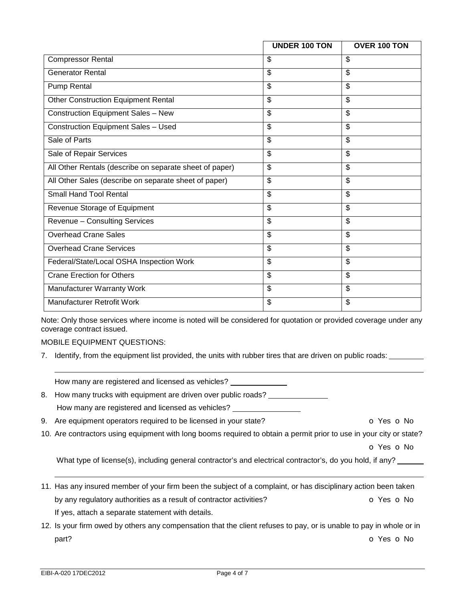|                                                         | <b>UNDER 100 TON</b>     | OVER 100 TON |
|---------------------------------------------------------|--------------------------|--------------|
| <b>Compressor Rental</b>                                | \$                       | \$           |
| <b>Generator Rental</b>                                 | \$                       | \$           |
| Pump Rental                                             | \$                       | \$           |
| <b>Other Construction Equipment Rental</b>              | \$                       | \$           |
| <b>Construction Equipment Sales - New</b>               | \$                       | \$           |
| <b>Construction Equipment Sales - Used</b>              | \$                       | \$           |
| Sale of Parts                                           | \$                       | \$           |
| Sale of Repair Services                                 | \$                       | \$           |
| All Other Rentals (describe on separate sheet of paper) | \$                       | \$           |
| All Other Sales (describe on separate sheet of paper)   | \$                       | \$           |
| <b>Small Hand Tool Rental</b>                           | \$                       | \$           |
| Revenue Storage of Equipment                            | $\overline{\mathcal{S}}$ | \$           |
| Revenue - Consulting Services                           | \$                       | \$           |
| <b>Overhead Crane Sales</b>                             | \$                       | \$           |
| <b>Overhead Crane Services</b>                          | \$                       | \$           |
| Federal/State/Local OSHA Inspection Work                | \$                       | \$           |
| <b>Crane Erection for Others</b>                        | \$                       | \$           |
| Manufacturer Warranty Work                              | $\mathfrak{S}$           | \$           |
| <b>Manufacturer Retrofit Work</b>                       | \$                       | \$           |

Note: Only those services where income is noted will be considered for quotation or provided coverage under any coverage contract issued.

MOBILE EQUIPMENT QUESTIONS:

7. Identify, from the equipment list provided, the units with rubber tires that are driven on public roads: \_\_\_\_\_\_\_

|    | How many are registered and licensed as vehicles?                                                                   |                          |
|----|---------------------------------------------------------------------------------------------------------------------|--------------------------|
| 8. | How many trucks with equipment are driven over public roads?                                                        |                          |
|    | How many are registered and licensed as vehicles?                                                                   |                          |
|    | 9. Are equipment operators required to be licensed in your state?                                                   | O Yes O No               |
|    | 10. Are contractors using equipment with long booms required to obtain a permit prior to use in your city or state? |                          |
|    |                                                                                                                     | <b>O</b> Yes <b>O</b> No |
|    | What type of license(s), including general contractor's and electrical contractor's, do you hold, if any?           |                          |
|    | 11. Has any insured member of your firm been the subject of a complaint, or has disciplinary action been taken      |                          |
|    | by any regulatory authorities as a result of contractor activities?                                                 | O Yes O No               |
|    | If yes, attach a separate statement with details.                                                                   |                          |
|    | 12. Is your firm owed by others any compensation that the client refuses to pay, or is unable to pay in whole or in |                          |
|    | part?                                                                                                               | o Yes o No               |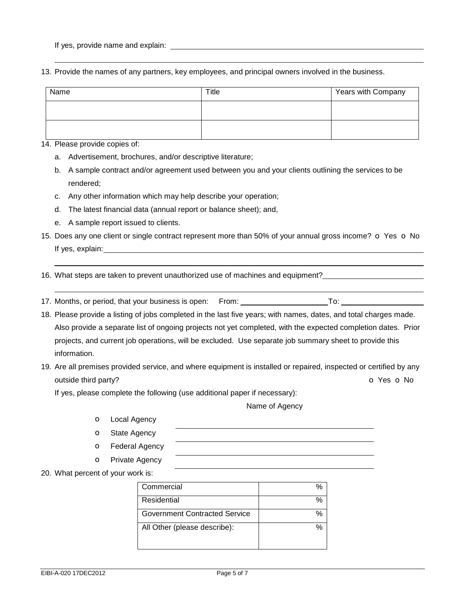13. Provide the names of any partners, key employees, and principal owners involved in the business.

| Name | Title | Years with Company |
|------|-------|--------------------|
|      |       |                    |
|      |       |                    |

14. Please provide copies of:

- a. Advertisement, brochures, and/or descriptive literature;
- b. A sample contract and/or agreement used between you and your clients outlining the services to be rendered;
- c. Any other information which may help describe your operation;
- d. The latest financial data (annual report or balance sheet); and,
- e. A sample report issued to clients.
- 15. Does any one client or single contract represent more than 50% of your annual gross income?  $\circ$  Yes  $\circ$  No If yes, explain:
- 16. What steps are taken to prevent unauthorized use of machines and equipment?
- 17. Months, or period, that your business is open: From: To:
- 18. Please provide a listing of jobs completed in the last five years; with names, dates, and total charges made. Also provide a separate list of ongoing projects not yet completed, with the expected completion dates. Prior projects, and current job operations, will be excluded. Use separate job summary sheet to provide this information.
- 19. Are all premises provided service, and where equipment is installed or repaired, inspected or certified by any outside third party? **o Yes o No**

If yes, please complete the following (use additional paper if necessary):

Name of Agency

- o Local Agency
- o State Agency
- o Federal Agency
- o Private Agency
- 20. What percent of your work is:

| Commercial                           |  |
|--------------------------------------|--|
| Residential                          |  |
| <b>Government Contracted Service</b> |  |
| All Other (please describe):         |  |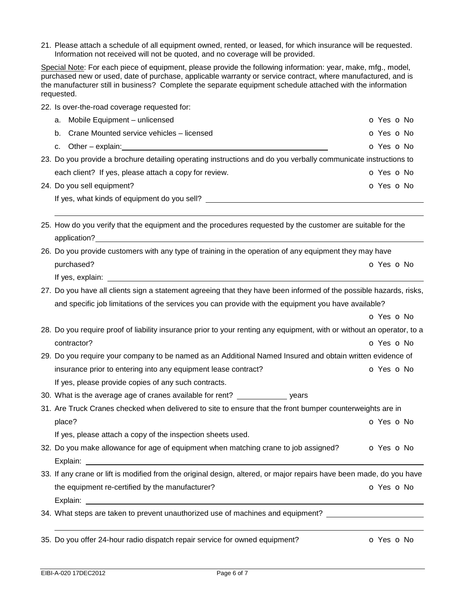21. Please attach a schedule of all equipment owned, rented, or leased, for which insurance will be requested. Information not received will not be quoted, and no coverage will be provided.

Special Note: For each piece of equipment, please provide the following information: year, make, mfg., model, purchased new or used, date of purchase, applicable warranty or service contract, where manufactured, and is the manufacturer still in business? Complete the separate equipment schedule attached with the information requested.

22. Is over-the-road coverage requested for:

|  |                                                                                                                    | a. Mobile Equipment - unlicensed                      | O Yes O No |  |
|--|--------------------------------------------------------------------------------------------------------------------|-------------------------------------------------------|------------|--|
|  |                                                                                                                    | b. Crane Mounted service vehicles – licensed          | O Yes O No |  |
|  |                                                                                                                    |                                                       | O Yes O No |  |
|  | 23. Do you provide a brochure detailing operating instructions and do you verbally communicate instructions to     |                                                       |            |  |
|  |                                                                                                                    | each client? If yes, please attach a copy for review. | O Yes O No |  |
|  |                                                                                                                    | 24. Do you sell equipment?                            | O Yes O No |  |
|  |                                                                                                                    |                                                       |            |  |
|  |                                                                                                                    |                                                       |            |  |
|  | 25. How do you verify that the equipment and the procedures requested by the customer are suitable for the         |                                                       |            |  |
|  |                                                                                                                    |                                                       |            |  |
|  | 26. Do you provide customers with any type of training in the operation of any equipment they may have             |                                                       |            |  |
|  |                                                                                                                    | purchased?                                            | O Yes O No |  |
|  |                                                                                                                    |                                                       |            |  |
|  | 27. Do you have all clients sign a statement agreeing that they have been informed of the possible hazards, risks, |                                                       |            |  |
|  | and specific job limitations of the services you can provide with the equipment you have available?                |                                                       |            |  |
|  |                                                                                                                    |                                                       | O Yes O No |  |

- 28. Do you require proof of liability insurance prior to your renting any equipment, with or without an operator, to a contractor? o Yes o No
- 29. Do you require your company to be named as an Additional Named Insured and obtain written evidence of insurance prior to entering into any equipment lease contract?  $\bullet$  Yes  $\bullet$  No If yes, please provide copies of any such contracts.
- 30. What is the average age of cranes available for rent? \_\_\_\_\_\_\_\_\_\_\_\_\_\_\_\_ years
- 31. Are Truck Cranes checked when delivered to site to ensure that the front bumper counterweights are in place? **o** Yes **o** No.

If yes, please attach a copy of the inspection sheets used.

- 32. Do you make allowance for age of equipment when matching crane to job assigned?  $\bullet$  Yes  $\bullet$  No Explain:
- 33. If any crane or lift is modified from the original design, altered, or major repairs have been made, do you have the equipment re-certified by the manufacturer?  $\bullet$  Yes  $\bullet$  No Explain:

34. What steps are taken to prevent unauthorized use of machines and equipment?

35. Do you offer 24-hour radio dispatch repair service for owned equipment? **o** Yes **o** No